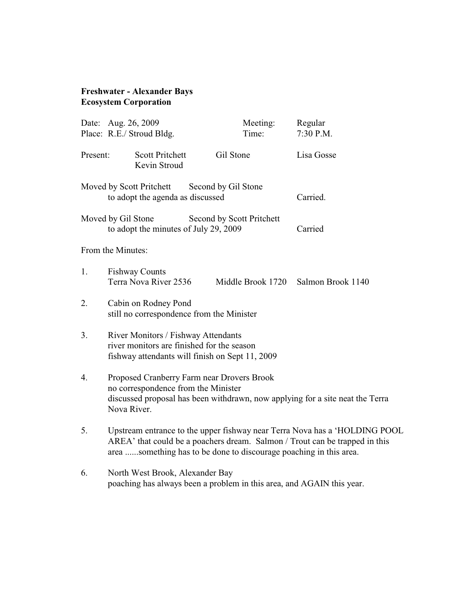## **Freshwater - Alexander Bays Ecosystem Corporation**

|          | Date: Aug. 26, 2009                                                                                                                                                                                                             | Meeting:                  | Regular           |
|----------|---------------------------------------------------------------------------------------------------------------------------------------------------------------------------------------------------------------------------------|---------------------------|-------------------|
|          | Place: R.E./ Stroud Bldg.                                                                                                                                                                                                       | Time:                     | 7:30 P.M.         |
| Present: | <b>Scott Pritchett</b><br>Kevin Stroud                                                                                                                                                                                          | Gil Stone                 | Lisa Gosse        |
|          | Moved by Scott Pritchett<br>to adopt the agenda as discussed                                                                                                                                                                    | Second by Gil Stone       | Carried.          |
|          | Moved by Gil Stone<br>to adopt the minutes of July 29, 2009                                                                                                                                                                     | Second by Scott Pritchett | Carried           |
|          | From the Minutes:                                                                                                                                                                                                               |                           |                   |
| 1.       | <b>Fishway Counts</b><br>Terra Nova River 2536                                                                                                                                                                                  | Middle Brook 1720         | Salmon Brook 1140 |
| 2.       | Cabin on Rodney Pond<br>still no correspondence from the Minister                                                                                                                                                               |                           |                   |
| 3.       | River Monitors / Fishway Attendants<br>river monitors are finished for the season<br>fishway attendants will finish on Sept 11, 2009                                                                                            |                           |                   |
| 4.       | Proposed Cranberry Farm near Drovers Brook<br>no correspondence from the Minister<br>discussed proposal has been withdrawn, now applying for a site neat the Terra<br>Nova River.                                               |                           |                   |
| 5.       | Upstream entrance to the upper fishway near Terra Nova has a 'HOLDING POOL<br>AREA' that could be a poachers dream. Salmon / Trout can be trapped in this<br>area something has to be done to discourage poaching in this area. |                           |                   |
| 6.       | North West Brook, Alexander Bay                                                                                                                                                                                                 |                           |                   |

poaching has always been a problem in this area, and AGAIN this year.